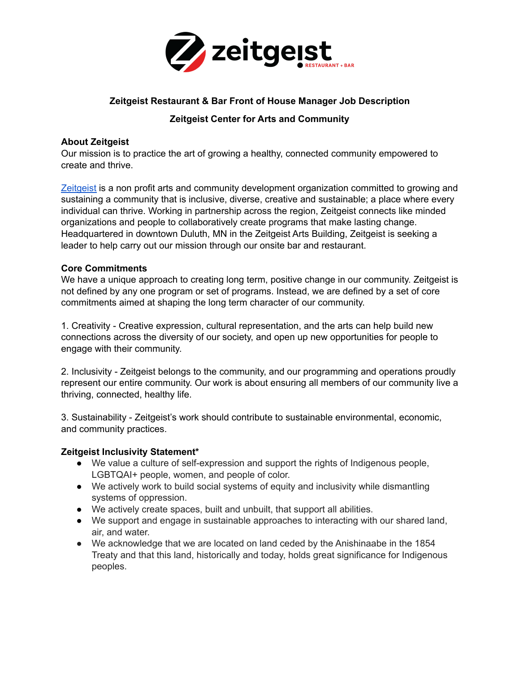

# **Zeitgeist Restaurant & Bar Front of House Manager Job Description**

## **Zeitgeist Center for Arts and Community**

#### **About Zeitgeist**

Our mission is to practice the art of growing a healthy, connected community empowered to create and thrive.

[Zeitgeist](https://zeitgeistarts.com/) is a non profit arts and community development organization committed to growing and sustaining a community that is inclusive, diverse, creative and sustainable; a place where every individual can thrive. Working in partnership across the region, Zeitgeist connects like minded organizations and people to collaboratively create programs that make lasting change. Headquartered in downtown Duluth, MN in the Zeitgeist Arts Building, Zeitgeist is seeking a leader to help carry out our mission through our onsite bar and restaurant.

#### **Core Commitments**

We have a unique approach to creating long term, positive change in our community. Zeitgeist is not defined by any one program or set of programs. Instead, we are defined by a set of core commitments aimed at shaping the long term character of our community.

1. Creativity - Creative expression, cultural representation, and the arts can help build new connections across the diversity of our society, and open up new opportunities for people to engage with their community.

2. Inclusivity - Zeitgeist belongs to the community, and our programming and operations proudly represent our entire community. Our work is about ensuring all members of our community live a thriving, connected, healthy life.

3. Sustainability - Zeitgeist's work should contribute to sustainable environmental, economic, and community practices.

### **Zeitgeist Inclusivity Statement\***

- We value a culture of self-expression and support the rights of Indigenous people, LGBTQAI+ people, women, and people of color.
- We actively work to build social systems of equity and inclusivity while dismantling systems of oppression.
- We actively create spaces, built and unbuilt, that support all abilities.
- We support and engage in sustainable approaches to interacting with our shared land, air, and water.
- We acknowledge that we are located on land ceded by the Anishinaabe in the 1854 Treaty and that this land, historically and today, holds great significance for Indigenous peoples.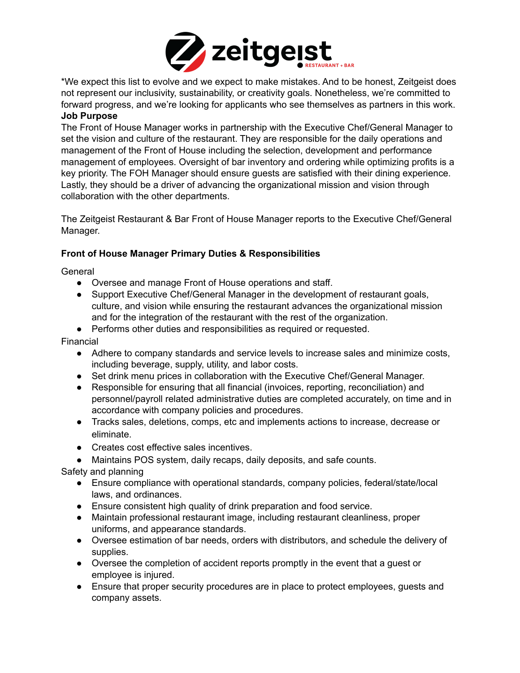

\*We expect this list to evolve and we expect to make mistakes. And to be honest, Zeitgeist does not represent our inclusivity, sustainability, or creativity goals. Nonetheless, we're committed to forward progress, and we're looking for applicants who see themselves as partners in this work. **Job Purpose**

The Front of House Manager works in partnership with the Executive Chef/General Manager to set the vision and culture of the restaurant. They are responsible for the daily operations and management of the Front of House including the selection, development and performance management of employees. Oversight of bar inventory and ordering while optimizing profits is a key priority. The FOH Manager should ensure guests are satisfied with their dining experience. Lastly, they should be a driver of advancing the organizational mission and vision through collaboration with the other departments.

The Zeitgeist Restaurant & Bar Front of House Manager reports to the Executive Chef/General Manager.

#### **Front of House Manager Primary Duties & Responsibilities**

General

- Oversee and manage Front of House operations and staff.
- Support Executive Chef/General Manager in the development of restaurant goals, culture, and vision while ensuring the restaurant advances the organizational mission and for the integration of the restaurant with the rest of the organization.
- Performs other duties and responsibilities as required or requested.

Financial

- Adhere to company standards and service levels to increase sales and minimize costs, including beverage, supply, utility, and labor costs.
- Set drink menu prices in collaboration with the Executive Chef/General Manager.
- Responsible for ensuring that all financial (invoices, reporting, reconciliation) and personnel/payroll related administrative duties are completed accurately, on time and in accordance with company policies and procedures.
- Tracks sales, deletions, comps, etc and implements actions to increase, decrease or eliminate.
- Creates cost effective sales incentives.
- Maintains POS system, daily recaps, daily deposits, and safe counts.

Safety and planning

- Ensure compliance with operational standards, company policies, federal/state/local laws, and ordinances.
- Ensure consistent high quality of drink preparation and food service.
- Maintain professional restaurant image, including restaurant cleanliness, proper uniforms, and appearance standards.
- Oversee estimation of bar needs, orders with distributors, and schedule the delivery of supplies.
- Oversee the completion of accident reports promptly in the event that a guest or employee is injured.
- Ensure that proper security procedures are in place to protect employees, guests and company assets.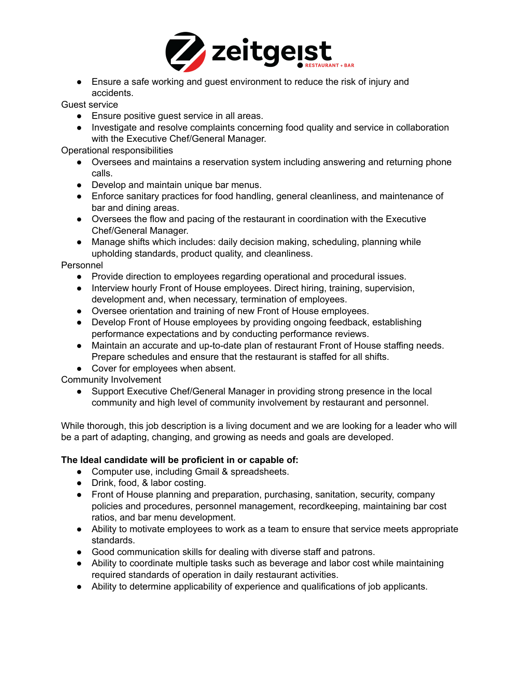

● Ensure a safe working and guest environment to reduce the risk of injury and accidents.

Guest service

- Ensure positive guest service in all areas.
- Investigate and resolve complaints concerning food quality and service in collaboration with the Executive Chef/General Manager.

Operational responsibilities

- Oversees and maintains a reservation system including answering and returning phone calls.
- Develop and maintain unique bar menus.
- Enforce sanitary practices for food handling, general cleanliness, and maintenance of bar and dining areas.
- Oversees the flow and pacing of the restaurant in coordination with the Executive Chef/General Manager.
- Manage shifts which includes: daily decision making, scheduling, planning while upholding standards, product quality, and cleanliness.

Personnel

- Provide direction to employees regarding operational and procedural issues.
- Interview hourly Front of House employees. Direct hiring, training, supervision, development and, when necessary, termination of employees.
- Oversee orientation and training of new Front of House employees.
- Develop Front of House employees by providing ongoing feedback, establishing performance expectations and by conducting performance reviews.
- Maintain an accurate and up-to-date plan of restaurant Front of House staffing needs. Prepare schedules and ensure that the restaurant is staffed for all shifts.
- Cover for employees when absent.

Community Involvement

● Support Executive Chef/General Manager in providing strong presence in the local community and high level of community involvement by restaurant and personnel.

While thorough, this job description is a living document and we are looking for a leader who will be a part of adapting, changing, and growing as needs and goals are developed.

### **The Ideal candidate will be proficient in or capable of:**

- Computer use, including Gmail & spreadsheets.
- Drink, food, & labor costing.
- Front of House planning and preparation, purchasing, sanitation, security, company policies and procedures, personnel management, recordkeeping, maintaining bar cost ratios, and bar menu development.
- Ability to motivate employees to work as a team to ensure that service meets appropriate standards.
- Good communication skills for dealing with diverse staff and patrons.
- Ability to coordinate multiple tasks such as beverage and labor cost while maintaining required standards of operation in daily restaurant activities.
- Ability to determine applicability of experience and qualifications of job applicants.